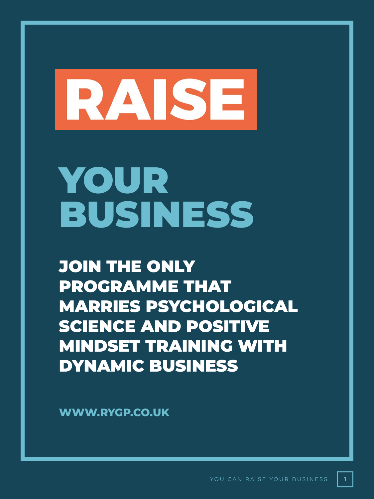# RAISE

### YOUR BUSINESS

JOIN THE ONLY PROGRAMME THAT MARRIES PSYCHOLOGICAL SCIENCE AND POSITIVE MINDSET TRAINING WITH DYNAMIC BUSINESS

**WWW.RYGP.CO.UK**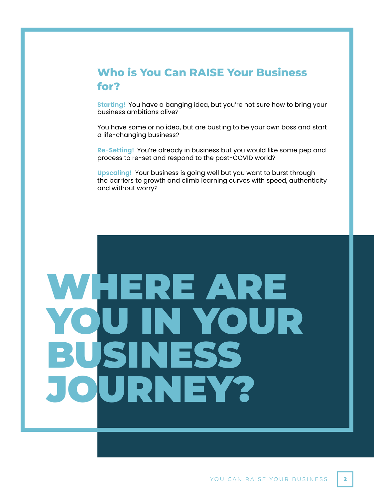#### **Who is You Can RAISE Your Business for?**

**Starting!** You have a banging idea, but you're not sure how to bring your business ambitions alive?

You have some or no idea, but are busting to be your own boss and start a life-changing business?

**Re-Setting!** You're already in business but you would like some pep and process to re-set and respond to the post-COVID world?

**Upscaling!** Your business is going well but you want to burst through the barriers to growth and climb learning curves with speed, authenticity and without worry?

### WHERE ARE YOUR ISSS JRNEY?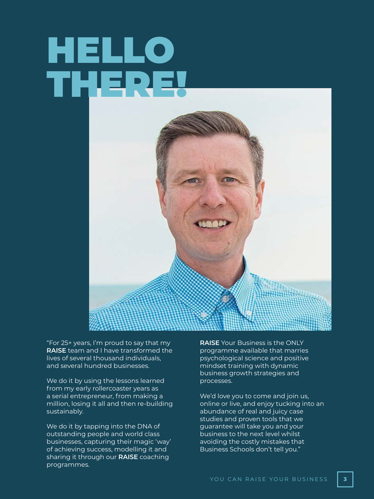### HELLO THERE!



"For 25+ years, I'm proud to say that my **RAISE** team and I have transformed the lives of several thousand individuals, and several hundred businesses.

We do it by using the lessons learned from my early rollercoaster years as a serial entrepreneur, from making a million, losing it all and then re-building sustainably.

We do it by tapping into the DNA of outstanding people and world class businesses, capturing their magic 'way' of achieving success, modelling it and sharing it through our **RAISE** coaching programmes.

**RAISE** Your Business is the ONLY programme available that marries psychological science and positive mindset training with dynamic business growth strategies and processes.

We'd love you to come and join us, online or live, and enjoy tucking into an abundance of real and juicy case studies and proven tools that we guarantee will take you and your business to the next level whilst avoiding the costly mistakes that Business Schools don't tell you."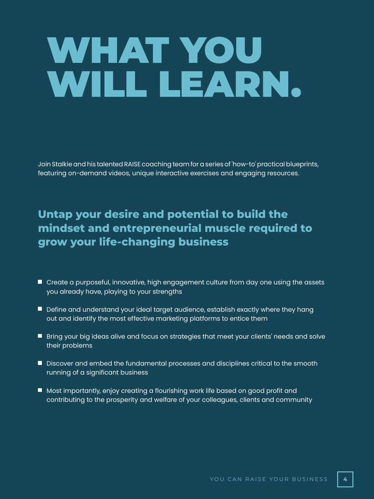### WHAT YOU WILL LEARN.

Join Stalkie and his talented RAISE coaching team for a series of 'how-to' practical blueprints, featuring on-demand videos, unique interactive exercises and engaging resources.

### **Untap your desire and potential to build the mindset and entrepreneurial muscle required to grow your life-changing business**

- Create a purposeful, innovative, high engagement culture from day one using the assets you already have, playing to your strengths
- **Define and understand your ideal target audience, establish exactly where they hang** out and identify the most effective marketing platforms to entice them
- **Bring your big ideas alive and focus on strategies that meet your clients' needs and solve** their problems
- **Discover and embed the fundamental processes and disciplines critical to the smooth** running of a significant business
- Most importantly, enjoy creating a flourishing work life based on good profit and contributing to the prosperity and welfare of your colleagues, clients and community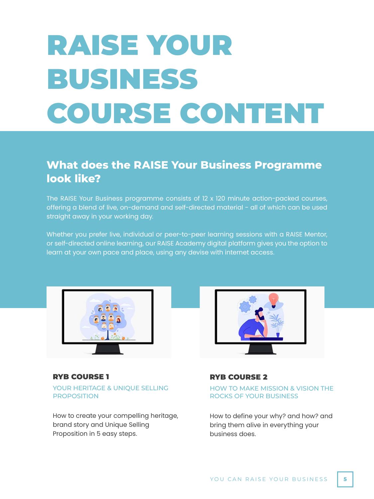### RAISE YOUR BUSINESS COURSE CONTENT

#### **What does the RAISE Your Business Programme look like?**

The RAISE Your Business programme consists of 12 x 120 minute action-packed courses, offering a blend of live, on-demand and self-directed material - all of which can be used straight away in your working day.

Whether you prefer live, individual or peer-to-peer learning sessions with a RAISE Mentor, or self-directed online learning, our RAISE Academy digital platform gives you the option to learn at your own pace and place, using any devise with internet access.



YOUR HERITAGE & UNIQUE SELLING PROPOSITION RYB COURSE 1

How to create your compelling heritage, brand story and Unique Selling Proposition in 5 easy steps.



#### RYB COURSE 2

HOW TO MAKE MISSION & VISION THE ROCKS OF YOUR BUSINESS

How to define your why? and how? and bring them alive in everything your business does.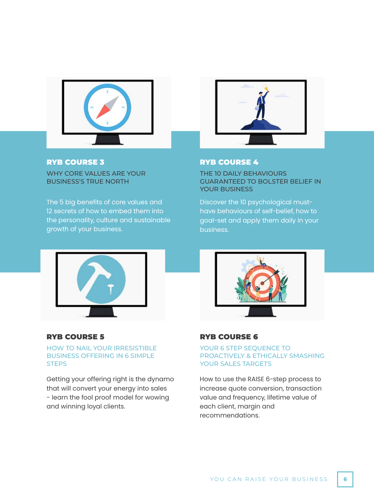

#### RYB COURSE 3

WHY CORE VALUES ARE YOUR BUSINESS'S TRUE NORTH

The 5 big benefits of core values and 12 secrets of how to embed them into the personality, culture and sustainable growth of your business.



#### RYB COURSE 4

THE 10 DAILY BEHAVIOURS GUARANTEED TO BOLSTER BELIEF IN YOUR BUSINESS

Discover the 10 psychological musthave behaviours of self-belief, how to goal-set and apply them daily in your business.



#### RYB COURSE 5

#### HOW TO NAIL YOUR IRRESISTIBLE BUSINESS OFFERING IN 6 SIMPLE **STEPS**

Getting your offering right is the dynamo that will convert your energy into sales - learn the fool proof model for wowing and winning loyal clients.



#### RYB COURSE 6

#### YOUR 6 STEP SEQUENCE TO PROACTIVELY & ETHICALLY SMASHING YOUR SALES TARGETS

How to use the RAISE 6-step process to increase quote conversion, transaction value and frequency, lifetime value of each client, margin and recommendations.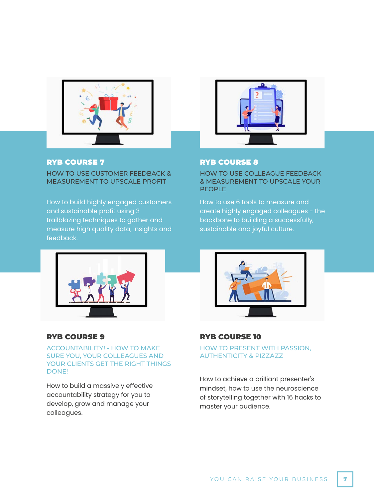

#### RYB COURSE 7

HOW TO USE CUSTOMER FEEDBACK & MEASUREMENT TO UPSCALE PROFIT

How to build highly engaged customers and sustainable profit using 3 trailblazing techniques to gather and measure high quality data, insights and feedback.



#### RYB COURSE 8

HOW TO USE COLLEAGUE FEEDBACK & MEASUREMENT TO UPSCALE YOUR PEOPLE

How to use 6 tools to measure and create highly engaged colleagues - the backbone to building a successfully, sustainable and joyful culture.



#### RYB COURSE 9

ACCOUNTABILITY! - HOW TO MAKE SURE YOU, YOUR COLLEAGUES AND YOUR CLIENTS GET THE RIGHT THINGS DONE!

How to build a massively effective accountability strategy for you to develop, grow and manage your colleagues.



#### RYB COURSE 10

HOW TO PRESENT WITH PASSION, AUTHENTICITY & PIZZAZZ

How to achieve a brilliant presenter's mindset, how to use the neuroscience of storytelling together with 16 hacks to master your audience.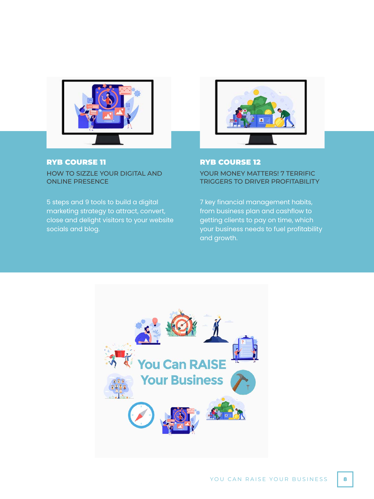

#### HOW TO SIZZLE YOUR DIGITAL AND ONLINE PRESENCE RYB COURSE 11

5 steps and 9 tools to build a digital marketing strategy to attract, convert, close and delight visitors to your website socials and blog.



#### RYB COURSE 12

YOUR MONEY MATTERS! 7 TERRIFIC TRIGGERS TO DRIVER PROFITABILITY

7 key financial management habits, from business plan and cashflow to getting clients to pay on time, which your business needs to fuel profitability and growth.

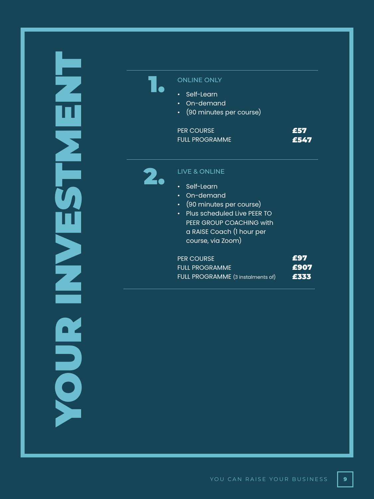



#### ONLINE ONLY

- Self-Learn
- On-demand
- (90 minutes per course)

| <b>PER COURSE</b> | <b>FE57</b> |
|-------------------|-------------|
| FULL PROGRAMME.   | £547        |



- Self-Learn
- On-demand
- (90 minutes per course)
- Plus scheduled Live PEER TO PEER GROUP COACHING with a RAISE Coach (1 hour per course, via Zoom)

| <b>PER COURSE</b>                 | <b>FE97</b> |
|-----------------------------------|-------------|
| <b>FULL PROGRAMME</b>             | £907        |
| FULL PROGRAMME (3 instalments of) | FE 555      |

**9**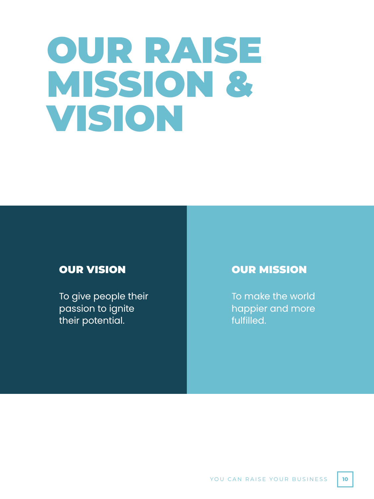### OUR RAISE MISSION & VISION

#### OUR VISION

To give people their passion to ignite their potential.

#### OUR MISSION

To make the world happier and more fulfilled.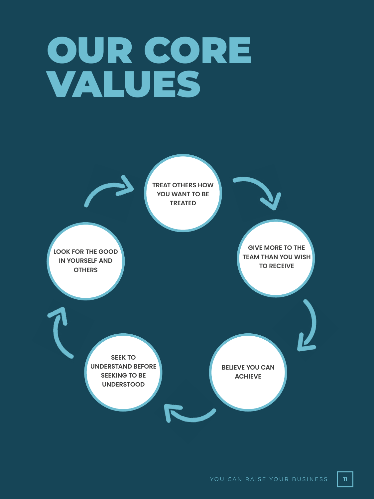### OUR CORE VALUES

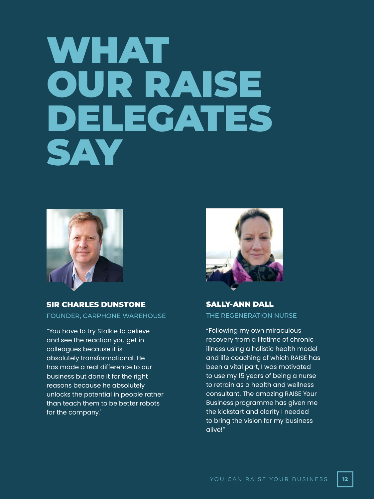### WHAT OUR RAISE DELEGATES SAY



FOUNDER, CARPHONE WAREHOUSE SIR CHARLES DUNSTONE

"You have to try Stalkie to believe and see the reaction you get in colleagues because it is absolutely transformational. He has made a real difference to our business but done it for the right reasons because he absolutely unlocks the potential in people rather than teach them to be better robots for the company."



THE REGENERATION NURSE SALLY-ANN DALL

"Following my own miraculous recovery from a lifetime of chronic illness using a holistic health model and life coaching of which RAISE has been a vital part, I was motivated to use my 15 years of being a nurse to retrain as a health and wellness consultant. The amazing RAISE Your Business programme has given me the kickstart and clarity I needed to bring the vision for my business alive!"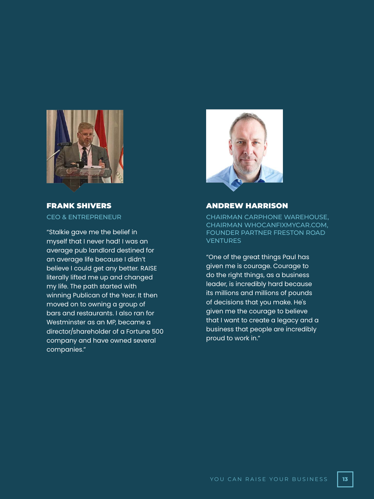

CEO & ENTREPRENEUR FRANK SHIVERS

"Stalkie gave me the belief in myself that I never had! I was an average pub landlord destined for an average life because I didn't believe I could get any better. RAISE literally lifted me up and changed my life. The path started with winning Publican of the Year. It then moved on to owning a group of bars and restaurants. I also ran for Westminster as an MP, became a director/shareholder of a Fortune 500 company and have owned several companies."



#### ANDREW HARRISON

CHAIRMAN CARPHONE WAREHOUSE, CHAIRMAN WHOCANFIXMYCAR.COM, FOUNDER PARTNER FRESTON ROAD **VENTURES** 

"One of the great things Paul has given me is courage. Courage to do the right things, as a business leader, is incredibly hard because its millions and millions of pounds of decisions that you make. He's given me the courage to believe that I want to create a legacy and a business that people are incredibly proud to work in."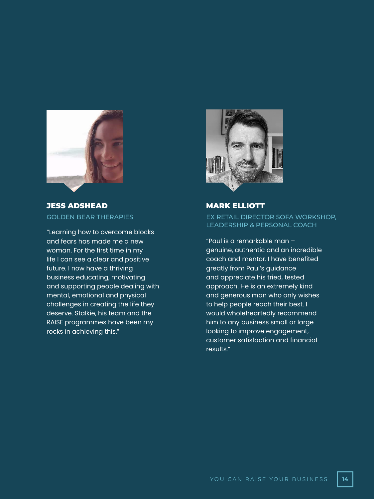

GOLDEN BEAR THERAPIES JESS ADSHEAD

"Learning how to overcome blocks and fears has made me a new woman. For the first time in my life I can see a clear and positive future. I now have a thriving business educating, motivating and supporting people dealing with mental, emotional and physical challenges in creating the life they deserve. Stalkie, his team and the RAISE programmes have been my rocks in achieving this."



EX RETAIL DIRECTOR SOFA WORKSHOP, LEADERSHIP & PERSONAL COACH MARK ELLIOTT

"Paul is a remarkable man – genuine, authentic and an incredible coach and mentor. I have benefited greatly from Paul's guidance and appreciate his tried, tested approach. He is an extremely kind and generous man who only wishes to help people reach their best. I would wholeheartedly recommend him to any business small or large looking to improve engagement, customer satisfaction and financial results."